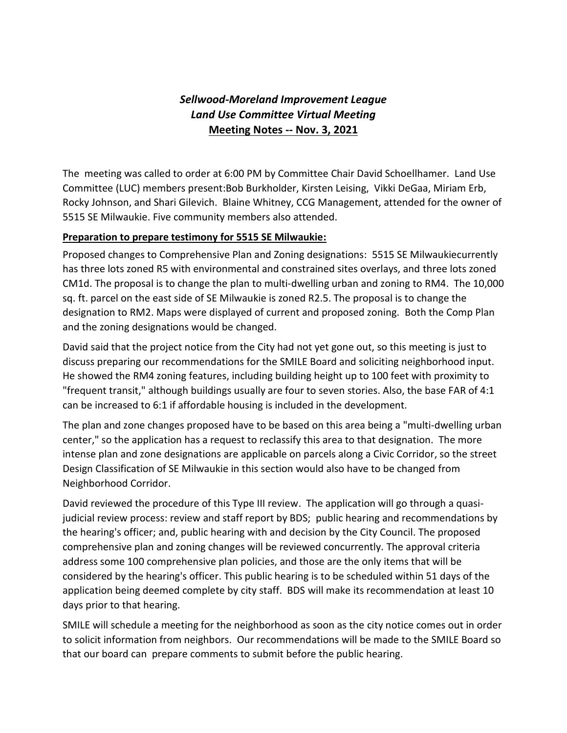# *Sellwood-Moreland Improvement League Land Use Committee Virtual Meeting* **Meeting Notes -- Nov. 3, 2021**

The meeting was called to order at 6:00 PM by Committee Chair David Schoellhamer. Land Use Committee (LUC) members present:Bob Burkholder, Kirsten Leising, Vikki DeGaa, Miriam Erb, Rocky Johnson, and Shari Gilevich. Blaine Whitney, CCG Management, attended for the owner of 5515 SE Milwaukie. Five community members also attended.

#### **Preparation to prepare testimony for 5515 SE Milwaukie:**

Proposed changes to Comprehensive Plan and Zoning designations: 5515 SE Milwaukiecurrently has three lots zoned R5 with environmental and constrained sites overlays, and three lots zoned CM1d. The proposal is to change the plan to multi-dwelling urban and zoning to RM4. The 10,000 sq. ft. parcel on the east side of SE Milwaukie is zoned R2.5. The proposal is to change the designation to RM2. Maps were displayed of current and proposed zoning. Both the Comp Plan and the zoning designations would be changed.

David said that the project notice from the City had not yet gone out, so this meeting is just to discuss preparing our recommendations for the SMILE Board and soliciting neighborhood input. He showed the RM4 zoning features, including building height up to 100 feet with proximity to "frequent transit," although buildings usually are four to seven stories. Also, the base FAR of 4:1 can be increased to 6:1 if affordable housing is included in the development.

The plan and zone changes proposed have to be based on this area being a "multi-dwelling urban center," so the application has a request to reclassify this area to that designation. The more intense plan and zone designations are applicable on parcels along a Civic Corridor, so the street Design Classification of SE Milwaukie in this section would also have to be changed from Neighborhood Corridor.

David reviewed the procedure of this Type III review. The application will go through a quasijudicial review process: review and staff report by BDS; public hearing and recommendations by the hearing's officer; and, public hearing with and decision by the City Council. The proposed comprehensive plan and zoning changes will be reviewed concurrently. The approval criteria address some 100 comprehensive plan policies, and those are the only items that will be considered by the hearing's officer. This public hearing is to be scheduled within 51 days of the application being deemed complete by city staff. BDS will make its recommendation at least 10 days prior to that hearing.

SMILE will schedule a meeting for the neighborhood as soon as the city notice comes out in order to solicit information from neighbors. Our recommendations will be made to the SMILE Board so that our board can prepare comments to submit before the public hearing.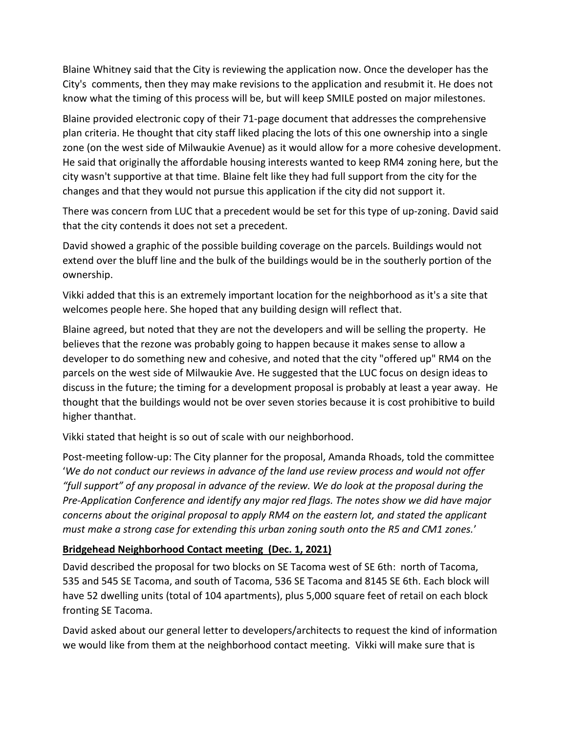Blaine Whitney said that the City is reviewing the application now. Once the developer has the City's comments, then they may make revisions to the application and resubmit it. He does not know what the timing of this process will be, but will keep SMILE posted on major milestones.

Blaine provided electronic copy of their 71-page document that addresses the comprehensive plan criteria. He thought that city staff liked placing the lots of this one ownership into a single zone (on the west side of Milwaukie Avenue) as it would allow for a more cohesive development. He said that originally the affordable housing interests wanted to keep RM4 zoning here, but the city wasn't supportive at that time. Blaine felt like they had full support from the city for the changes and that they would not pursue this application if the city did not support it.

There was concern from LUC that a precedent would be set for this type of up-zoning. David said that the city contends it does not set a precedent.

David showed a graphic of the possible building coverage on the parcels. Buildings would not extend over the bluff line and the bulk of the buildings would be in the southerly portion of the ownership.

Vikki added that this is an extremely important location for the neighborhood as it's a site that welcomes people here. She hoped that any building design will reflect that.

Blaine agreed, but noted that they are not the developers and will be selling the property. He believes that the rezone was probably going to happen because it makes sense to allow a developer to do something new and cohesive, and noted that the city "offered up" RM4 on the parcels on the west side of Milwaukie Ave. He suggested that the LUC focus on design ideas to discuss in the future; the timing for a development proposal is probably at least a year away. He thought that the buildings would not be over seven stories because it is cost prohibitive to build higher thanthat.

Vikki stated that height is so out of scale with our neighborhood.

Post-meeting follow-up: The City planner for the proposal, Amanda Rhoads, told the committee '*We do not conduct our reviews in advance of the land use review process and would not offer "full support" of any proposal in advance of the review. We do look at the proposal during the Pre-Application Conference and identify any major red flags. The notes show we did have major concerns about the original proposal to apply RM4 on the eastern lot, and stated the applicant must make a strong case for extending this urban zoning south onto the R5 and CM1 zones.*'

# **Bridgehead Neighborhood Contact meeting (Dec. 1, 2021)**

David described the proposal for two blocks on SE Tacoma west of SE 6th: north of Tacoma, 535 and 545 SE Tacoma, and south of Tacoma, 536 SE Tacoma and 8145 SE 6th. Each block will have 52 dwelling units (total of 104 apartments), plus 5,000 square feet of retail on each block fronting SE Tacoma.

David asked about our general letter to developers/architects to request the kind of information we would like from them at the neighborhood contact meeting. Vikki will make sure that is